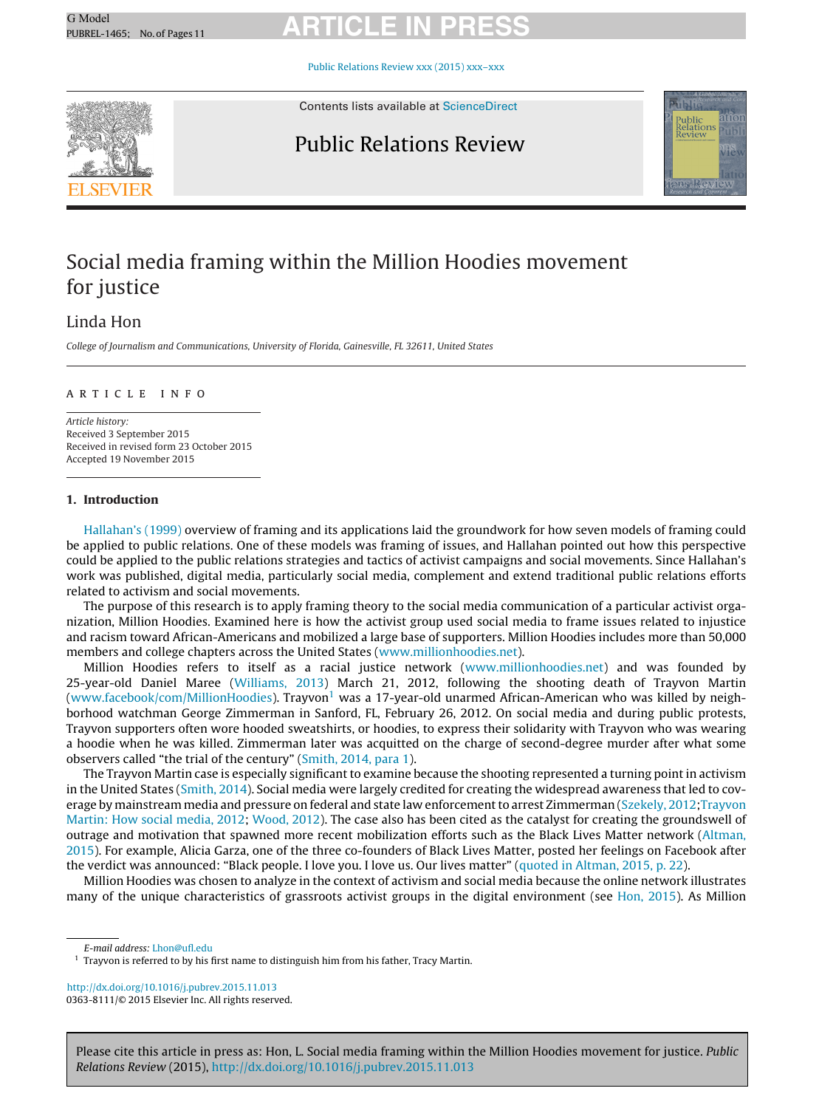Public [Relations](dx.doi.org/10.1016/j.pubrev.2015.11.013) Review xxx (2015) xxx–xxx



Contents lists available at [ScienceDirect](http://www.sciencedirect.com/science/journal/03638111)

# Public Relations Review



# Social media framing within the Million Hoodies movement for justice

# Linda Hon

College of Journalism and Communications, University of Florida, Gainesville, FL 32611, United States

### a r t i c l e i n f o

Article history: Received 3 September 2015 Received in revised form 23 October 2015 Accepted 19 November 2015

### **1. Introduction**

[Hallahan's](#page-9-0) [\(1999\)](#page-9-0) overview of framing and its applications laid the groundwork for how seven models of framing could be applied to public relations. One of these models was framing of issues, and Hallahan pointed out how this perspective could be applied to the public relations strategies and tactics of activist campaigns and social movements. Since Hallahan's work was published, digital media, particularly social media, complement and extend traditional public relations efforts related to activism and social movements.

The purpose of this research is to apply framing theory to the social media communication of a particular activist organization, Million Hoodies. Examined here is how the activist group used social media to frame issues related to injustice and racism toward African-Americans and mobilized a large base of supporters. Million Hoodies includes more than 50,000 members and college chapters across the United States [\(www.millionhoodies.net](http://www.millionhoodies.net)).

Million Hoodies refers to itself as a racial justice network [\(www.millionhoodies.net](http://www.millionhoodies.net)) and was founded by 25-year-old Daniel Maree [\(Williams,](#page-10-0) [2013\)](#page-10-0) March 21, 2012, following the shooting death of Trayvon Martin [\(www.facebook/com/MillionHoodies](http://www.facebook/com/MillionHoodies)). Trayvon<sup>1</sup> was a 17-year-old unarmed African-American who was killed by neighborhood watchman George Zimmerman in Sanford, FL, February 26, 2012. On social media and during public protests, Trayvon supporters often wore hooded sweatshirts, or hoodies, to express their solidarity with Trayvon who was wearing a hoodie when he was killed. Zimmerman later was acquitted on the charge of second-degree murder after what some observers called "the trial of the century" ([Smith,](#page-9-0) [2014,](#page-9-0) [para](#page-9-0) [1\).](#page-9-0)

The Trayvon Martin case is especially significant to examine because the shooting represented a turning point in activism in the United States [\(Smith,](#page-9-0) [2014\).](#page-9-0) Social media were largely credited for creating the widespread awareness that led to coverage by mainstream media and pressure on federal and state law enforcementto arrest Zimmerman ([Szekely,](#page-10-0) [2012;Trayvon](#page-10-0) [Martin:](#page-10-0) [How](#page-10-0) [social](#page-10-0) [media,](#page-10-0) [2012;](#page-10-0) [Wood,](#page-10-0) [2012\).](#page-10-0) The case also has been cited as the catalyst for creating the groundswell of outrage and motivation that spawned more recent mobilization efforts such as the Black Lives Matter network [\(Altman,](#page-9-0) [2015\).](#page-9-0) For example, Alicia Garza, one of the three co-founders of Black Lives Matter, posted her feelings on Facebook after the verdict was announced: "Black people. I love you. I love us. Our lives matter" ([quoted](#page-9-0) [in](#page-9-0) [Altman,](#page-9-0) [2015,](#page-9-0) [p.](#page-9-0) [22\).](#page-9-0)

Million Hoodies was chosen to analyze in the context of activism and social media because the online network illustrates many of the unique characteristics of grassroots activist groups in the digital environment (see [Hon,](#page-9-0) [2015\).](#page-9-0) As Million

[http://dx.doi.org/10.1016/j.pubrev.2015.11.013](dx.doi.org/10.1016/j.pubrev.2015.11.013) 0363-8111/© 2015 Elsevier Inc. All rights reserved.

E-mail address: [Lhon@ufl.edu](mailto:Lhon@ufl.edu)

<sup>&</sup>lt;sup>1</sup> Trayvon is referred to by his first name to distinguish him from his father, Tracy Martin.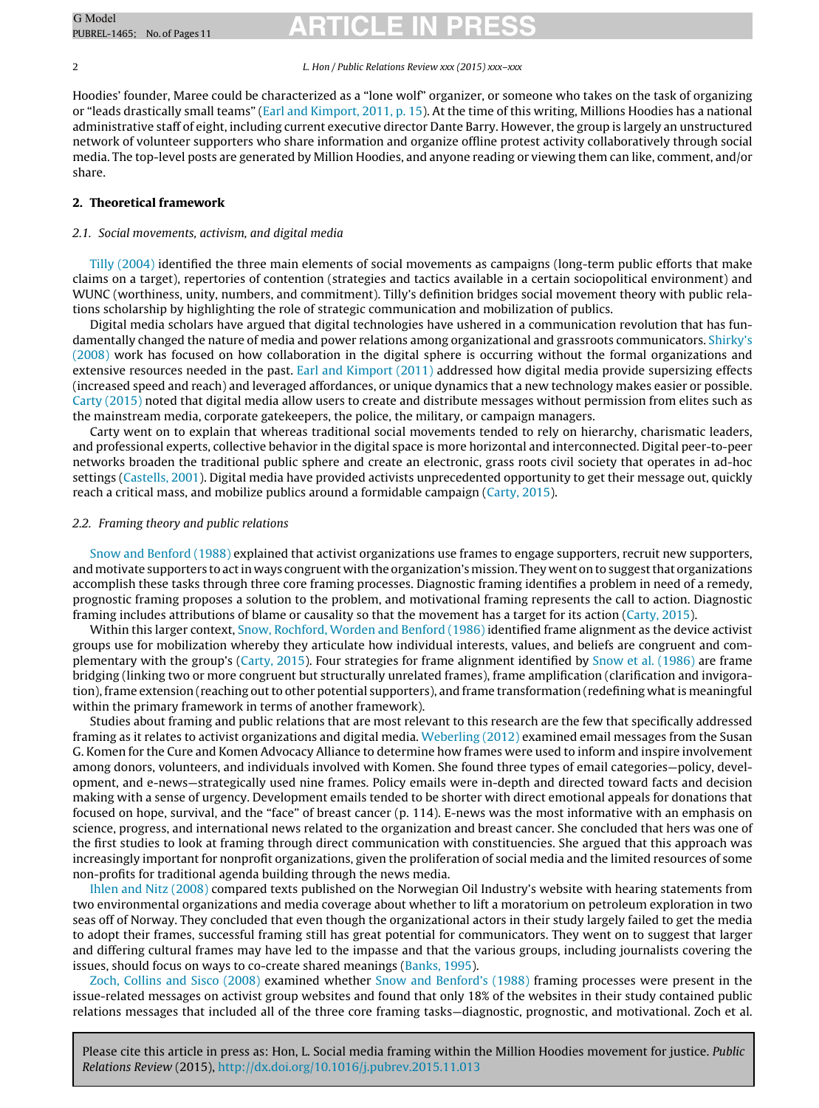#### 2 L. Hon / Public Relations Review xxx (2015) xxx–xxx

Hoodies' founder, Maree could be characterized as a "lone wolf" organizer, or someone who takes on the task of organizing or "leads drastically small teams" ([Earl](#page-9-0) [and](#page-9-0) [Kimport,](#page-9-0) [2011,](#page-9-0) [p.](#page-9-0) [15\).](#page-9-0) At the time of this writing, Millions Hoodies has a national administrative staff of eight, including current executive director Dante Barry. However, the group is largely an unstructured network of volunteer supporters who share information and organize offline protest activity collaboratively through social media. The top-level posts are generated by Million Hoodies, and anyone reading or viewing them can like, comment, and/or share.

### **2. Theoretical framework**

### 2.1. Social movements, activism, and digital media

[Tilly](#page-10-0) [\(2004\)](#page-10-0) identified the three main elements of social movements as campaigns (long-term public efforts that make claims on a target), repertories of contention (strategies and tactics available in a certain sociopolitical environment) and WUNC (worthiness, unity, numbers, and commitment). Tilly's definition bridges social movement theory with public relations scholarship by highlighting the role of strategic communication and mobilization of publics.

Digital media scholars have argued that digital technologies have ushered in a communication revolution that has fundamentally changed the nature of media and power relations among organizational and grassroots communicators. [Shirky's](#page-9-0) [\(2008\)](#page-9-0) work has focused on how collaboration in the digital sphere is occurring without the formal organizations and extensive resources needed in the past. [Earl](#page-9-0) [and](#page-9-0) [Kimport](#page-9-0) [\(2011\)](#page-9-0) addressed how digital media provide supersizing effects (increased speed and reach) and leveraged affordances, or unique dynamics that a new technology makes easier or possible. [Carty](#page-9-0) [\(2015\)](#page-9-0) noted that digital media allow users to create and distribute messages without permission from elites such as the mainstream media, corporate gatekeepers, the police, the military, or campaign managers.

Carty went on to explain that whereas traditional social movements tended to rely on hierarchy, charismatic leaders, and professional experts, collective behavior in the digital space is more horizontal and interconnected. Digital peer-to-peer networks broaden the traditional public sphere and create an electronic, grass roots civil society that operates in ad-hoc settings [\(Castells,](#page-9-0) [2001\).](#page-9-0) Digital media have provided activists unprecedented opportunity to get their message out, quickly reach a critical mass, and mobilize publics around a formidable campaign [\(Carty,](#page-9-0) [2015\).](#page-9-0)

### 2.2. Framing theory and public relations

[Snow](#page-10-0) [and](#page-10-0) [Benford](#page-10-0) [\(1988\)](#page-10-0) explained that activist organizations use frames to engage supporters, recruit new supporters, and motivate supporters to actin ways congruent with the organization's mission. They went on to suggestthat organizations accomplish these tasks through three core framing processes. Diagnostic framing identifies a problem in need of a remedy, prognostic framing proposes a solution to the problem, and motivational framing represents the call to action. Diagnostic framing includes attributions of blame or causality so that the movement has a target for its action [\(Carty,](#page-9-0) [2015\).](#page-9-0)

Within this larger context, [Snow,](#page-10-0) [Rochford,](#page-10-0) [Worden](#page-10-0) [and](#page-10-0) [Benford](#page-10-0) [\(1986\)](#page-10-0) identified frame alignment as the device activist groups use for mobilization whereby they articulate how individual interests, values, and beliefs are congruent and complementary with the group's ([Carty,](#page-9-0) [2015\).](#page-9-0) Four strategies for frame alignment identified by [Snow](#page-10-0) et [al.](#page-10-0) [\(1986\)](#page-10-0) are frame bridging (linking two or more congruent but structurally unrelated frames), frame amplification (clarification and invigoration), frame extension (reaching out to other potential supporters), and frame transformation (redefining what is meaningful within the primary framework in terms of another framework).

Studies about framing and public relations that are most relevant to this research are the few that specifically addressed framing as it relates to activist organizations and digital media. [Weberling](#page-10-0) [\(2012\)](#page-10-0) examined email messages from the Susan G. Komen for the Cure and Komen Advocacy Alliance to determine how frames were used to inform and inspire involvement among donors, volunteers, and individuals involved with Komen. She found three types of email categories—policy, development, and e-news—strategically used nine frames. Policy emails were in-depth and directed toward facts and decision making with a sense of urgency. Development emails tended to be shorter with direct emotional appeals for donations that focused on hope, survival, and the "face" of breast cancer (p. 114). E-news was the most informative with an emphasis on science, progress, and international news related to the organization and breast cancer. She concluded that hers was one of the first studies to look at framing through direct communication with constituencies. She argued that this approach was increasingly important for nonprofit organizations, given the proliferation of social media and the limited resources of some non-profits for traditional agenda building through the news media.

[Ihlen](#page-9-0) [and](#page-9-0) [Nitz](#page-9-0) [\(2008\)](#page-9-0) compared texts published on the Norwegian Oil Industry's website with hearing statements from two environmental organizations and media coverage about whether to lift a moratorium on petroleum exploration in two seas off of Norway. They concluded that even though the organizational actors in their study largely failed to get the media to adopt their frames, successful framing still has great potential for communicators. They went on to suggest that larger and differing cultural frames may have led to the impasse and that the various groups, including journalists covering the issues, should focus on ways to co-create shared meanings [\(Banks,](#page-9-0) [1995\).](#page-9-0)

[Zoch,](#page-10-0) [Collins](#page-10-0) [and](#page-10-0) [Sisco](#page-10-0) [\(2008\)](#page-10-0) examined whether [Snow](#page-10-0) [and](#page-10-0) [Benford's](#page-10-0) [\(1988\)](#page-10-0) framing processes were present in the issue-related messages on activist group websites and found that only 18% of the websites in their study contained public relations messages that included all of the three core framing tasks—diagnostic, prognostic, and motivational. Zoch et al.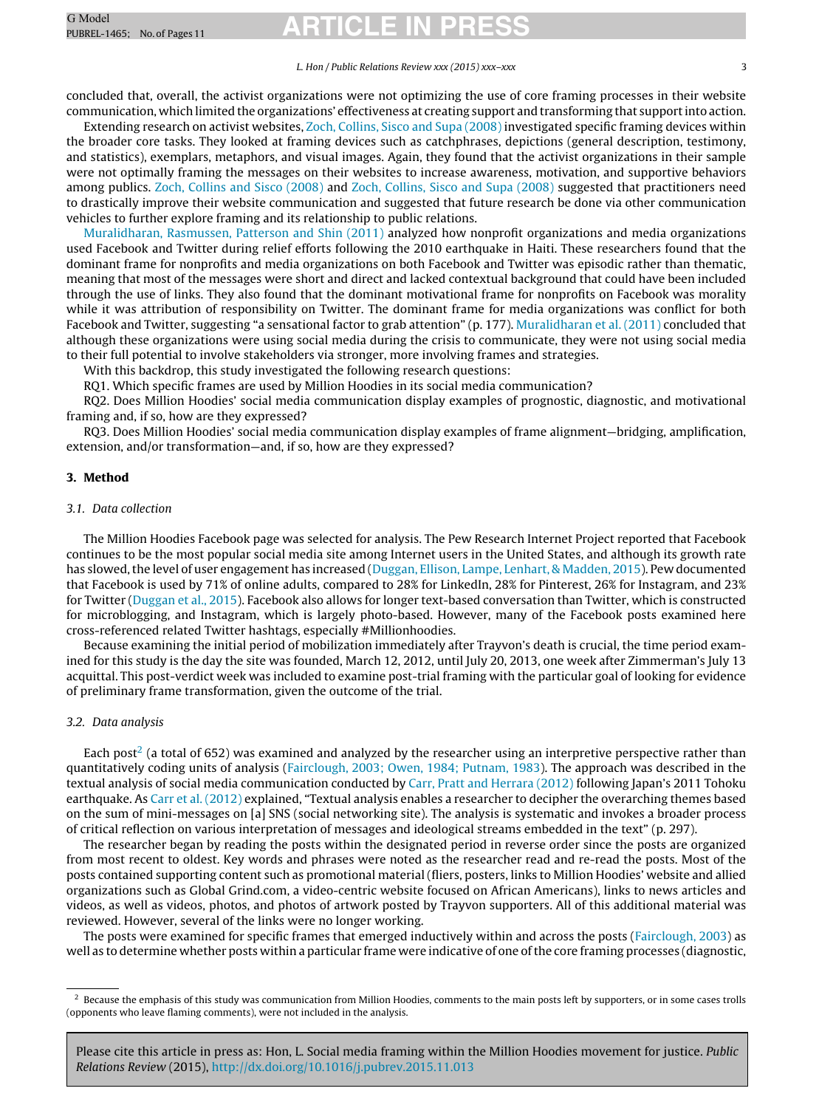#### L. Hon / Public Relations Review xxx (2015) xxx–xxx 3

concluded that, overall, the activist organizations were not optimizing the use of core framing processes in their website communication, which limited the organizations' effectiveness at creating support and transforming that supportinto action.

Extending research on activist websites, [Zoch,](#page-10-0) [Collins,](#page-10-0) [Sisco](#page-10-0) [and](#page-10-0) [Supa](#page-10-0) [\(2008\)](#page-10-0) investigated specific framing devices within the broader core tasks. They looked at framing devices such as catchphrases, depictions (general description, testimony, and statistics), exemplars, metaphors, and visual images. Again, they found that the activist organizations in their sample were not optimally framing the messages on their websites to increase awareness, motivation, and supportive behaviors among publics. [Zoch,](#page-10-0) [Collins](#page-10-0) [and](#page-10-0) [Sisco](#page-10-0) [\(2008\)](#page-10-0) and [Zoch,](#page-10-0) [Collins,](#page-10-0) [Sisco](#page-10-0) [and](#page-10-0) [Supa](#page-10-0) [\(2008\)](#page-10-0) suggested that practitioners need to drastically improve their website communication and suggested that future research be done via other communication vehicles to further explore framing and its relationship to public relations.

[Muralidharan,](#page-9-0) [Rasmussen,](#page-9-0) [Patterson](#page-9-0) [and](#page-9-0) [Shin](#page-9-0) [\(2011\)](#page-9-0) analyzed how nonprofit organizations and media organizations used Facebook and Twitter during relief efforts following the 2010 earthquake in Haiti. These researchers found that the dominant frame for nonprofits and media organizations on both Facebook and Twitter was episodic rather than thematic, meaning that most of the messages were short and direct and lacked contextual background that could have been included through the use of links. They also found that the dominant motivational frame for nonprofits on Facebook was morality while it was attribution of responsibility on Twitter. The dominant frame for media organizations was conflict for both Facebook and Twitter, suggesting "a sensational factor to grab attention" (p. 177). [Muralidharan](#page-9-0) et [al.](#page-9-0) [\(2011\)](#page-9-0) concluded that although these organizations were using social media during the crisis to communicate, they were not using social media to their full potential to involve stakeholders via stronger, more involving frames and strategies.

With this backdrop, this study investigated the following research questions:

RQ1. Which specific frames are used by Million Hoodies in its social media communication?

RQ2. Does Million Hoodies' social media communication display examples of prognostic, diagnostic, and motivational framing and, if so, how are they expressed?

RQ3. Does Million Hoodies' social media communication display examples of frame alignment—bridging, amplification, extension, and/or transformation—and, if so, how are they expressed?

#### **3. Method**

#### 3.1. Data collection

The Million Hoodies Facebook page was selected for analysis. The Pew Research Internet Project reported that Facebook continues to be the most popular social media site among Internet users in the United States, and although its growth rate has slowed, the level of user engagement has increased ([Duggan,](#page-9-0) [Ellison,](#page-9-0) [Lampe,](#page-9-0) [Lenhart,](#page-9-0) [&](#page-9-0) [Madden,](#page-9-0) [2015\).](#page-9-0) Pew documented that Facebook is used by 71% of online adults, compared to 28% for LinkedIn, 28% for Pinterest, 26% for Instagram, and 23% for Twitter [\(Duggan](#page-9-0) et [al.,](#page-9-0) [2015\).](#page-9-0) Facebook also allows for longer text-based conversation than Twitter, which is constructed for microblogging, and Instagram, which is largely photo-based. However, many of the Facebook posts examined here cross-referenced related Twitter hashtags, especially #Millionhoodies.

Because examining the initial period of mobilization immediately after Trayvon's death is crucial, the time period examined for this study is the day the site was founded, March 12, 2012, until July 20, 2013, one week after Zimmerman's July 13 acquittal. This post-verdict week was included to examine post-trial framing with the particular goal of looking for evidence of preliminary frame transformation, given the outcome of the trial.

#### 3.2. Data analysis

Each post<sup>2</sup> (a total of 652) was examined and analyzed by the researcher using an interpretive perspective rather than quantitatively coding units of analysis ([Fairclough,](#page-9-0) [2003;](#page-9-0) [Owen,](#page-9-0) [1984;](#page-9-0) [Putnam,](#page-9-0) [1983\).](#page-9-0) The approach was described in the textual analysis of social media communication conducted by [Carr,](#page-9-0) [Pratt](#page-9-0) [and](#page-9-0) [Herrara](#page-9-0) [\(2012\)](#page-9-0) following Japan's 2011 Tohoku earthquake. As [Carr](#page-9-0) et [al.](#page-9-0) [\(2012\)](#page-9-0) explained, "Textual analysis enables a researcher to decipher the overarching themes based on the sum of mini-messages on [a] SNS (social networking site). The analysis is systematic and invokes a broader process of critical reflection on various interpretation of messages and ideological streams embedded in the text" (p. 297).

The researcher began by reading the posts within the designated period in reverse order since the posts are organized from most recent to oldest. Key words and phrases were noted as the researcher read and re-read the posts. Most of the posts contained supporting content such as promotional material (fliers, posters, links to Million Hoodies' website and allied organizations such as Global Grind.com, a video-centric website focused on African Americans), links to news articles and videos, as well as videos, photos, and photos of artwork posted by Trayvon supporters. All of this additional material was reviewed. However, several of the links were no longer working.

The posts were examined for specific frames that emerged inductively within and across the posts ([Fairclough,](#page-9-0) [2003\)](#page-9-0) as well as to determine whether posts within a particular frame were indicative of one ofthe core framing processes (diagnostic,

 $^2$  Because the emphasis of this study was communication from Million Hoodies, comments to the main posts left by supporters, or in some cases trolls (opponents who leave flaming comments), were not included in the analysis.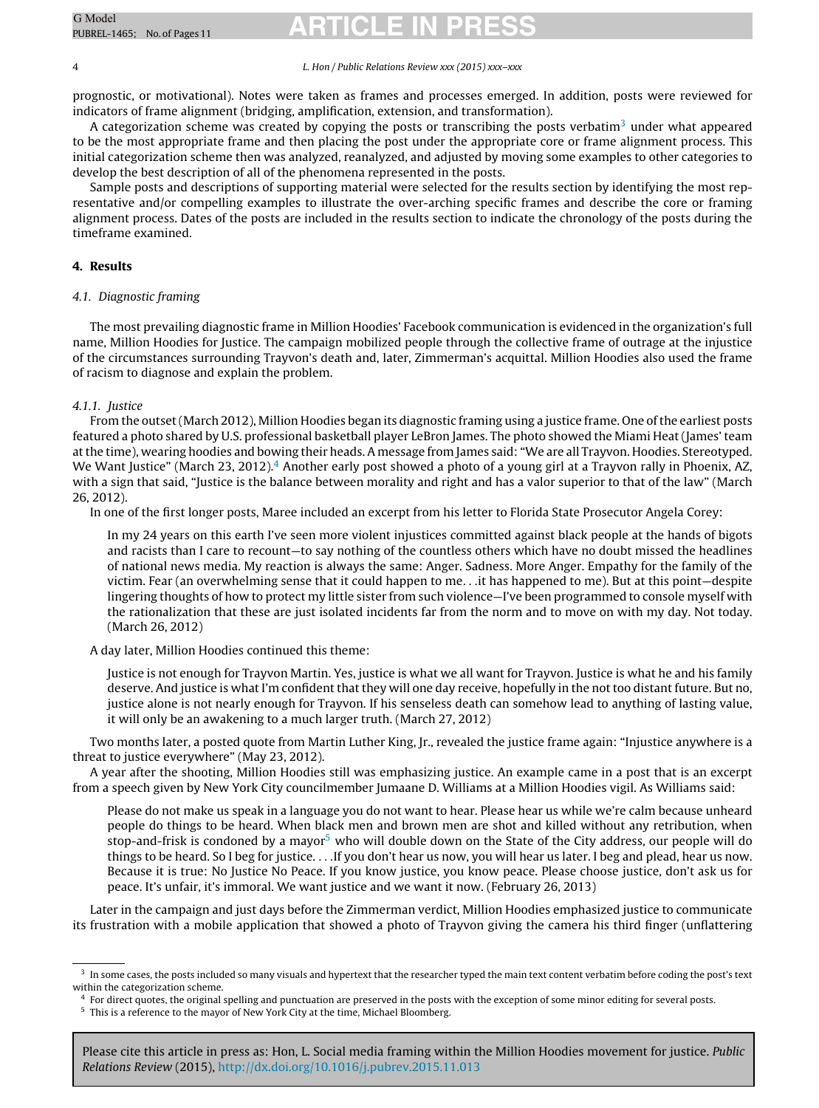#### 4 L. Hon / Public Relations Review xxx (2015) xxx–xxx

prognostic, or motivational). Notes were taken as frames and processes emerged. In addition, posts were reviewed for indicators of frame alignment (bridging, amplification, extension, and transformation).

A categorization scheme was created by copving the posts or transcribing the posts verbatim<sup>3</sup> under what appeared to be the most appropriate frame and then placing the post under the appropriate core or frame alignment process. This initial categorization scheme then was analyzed, reanalyzed, and adjusted by moving some examples to other categories to develop the best description of all of the phenomena represented in the posts.

Sample posts and descriptions of supporting material were selected for the results section by identifying the most representative and/or compelling examples to illustrate the over-arching specific frames and describe the core or framing alignment process. Dates of the posts are included in the results section to indicate the chronology of the posts during the timeframe examined.

## **4. Results**

### 4.1. Diagnostic framing

The most prevailing diagnostic frame in Million Hoodies' Facebook communication is evidenced in the organization's full name, Million Hoodies for Justice. The campaign mobilized people through the collective frame of outrage at the injustice of the circumstances surrounding Trayvon's death and, later, Zimmerman's acquittal. Million Hoodies also used the frame of racism to diagnose and explain the problem.

### 4.1.1. Justice

From the outset(March 2012), Million Hoodies began its diagnostic framing using a justice frame. One ofthe earliest posts featured a photo shared by U.S. professional basketball player LeBron James. The photo showed the Miami Heat (James' team atthe time), wearing hoodies and bowing their heads. A message from James said: "We are all Trayvon. Hoodies. Stereotyped. We Want Justice" (March 23, 2012).<sup>4</sup> Another early post showed a photo of a young girl at a Trayvon rally in Phoenix, AZ, with a sign that said, "Justice is the balance between morality and right and has a valor superior to that of the law" (March 26, 2012).

In one of the first longer posts, Maree included an excerpt from his letter to Florida State Prosecutor Angela Corey:

In my 24 years on this earth I've seen more violent injustices committed against black people at the hands of bigots and racists than I care to recount—to say nothing of the countless others which have no doubt missed the headlines of national news media. My reaction is always the same: Anger. Sadness. More Anger. Empathy for the family of the victim. Fear (an overwhelming sense that it could happen to me. . .it has happened to me). But at this point—despite lingering thoughts of how to protect my little sister from such violence—I've been programmed to console myself with the rationalization that these are just isolated incidents far from the norm and to move on with my day. Not today. (March 26, 2012)

A day later, Million Hoodies continued this theme:

Justice is not enough for Trayvon Martin. Yes, justice is what we all want for Trayvon. Justice is what he and his family deserve. And justice is what I'm confident that they will one day receive, hopefully in the not too distant future. But no, justice alone is not nearly enough for Trayvon. If his senseless death can somehow lead to anything of lasting value, it will only be an awakening to a much larger truth. (March 27, 2012)

Two months later, a posted quote from Martin Luther King, Jr., revealed the justice frame again: "Injustice anywhere is a threat to justice everywhere" (May 23, 2012).

A year after the shooting, Million Hoodies still was emphasizing justice. An example came in a post that is an excerpt from a speech given by New York City councilmember Jumaane D. Williams at a Million Hoodies vigil. As Williams said:

Please do not make us speak in a language you do not want to hear. Please hear us while we're calm because unheard people do things to be heard. When black men and brown men are shot and killed without any retribution, when stop-and-frisk is condoned by a mayor<sup>5</sup> who will double down on the State of the City address, our people will do things to be heard. So I beg for justice. . . .If you don't hear us now, you will hear us later. I beg and plead, hear us now. Because it is true: No Justice No Peace. If you know justice, you know peace. Please choose justice, don't ask us for peace. It's unfair, it's immoral. We want justice and we want it now. (February 26, 2013)

Later in the campaign and just days before the Zimmerman verdict, Million Hoodies emphasized justice to communicate its frustration with a mobile application that showed a photo of Trayvon giving the camera his third finger (unflattering

 $3\,$  In some cases, the posts included so many visuals and hypertext that the researcher typed the main text content verbatim before coding the post's text within the categorization scheme.

<sup>&</sup>lt;sup>4</sup> For direct quotes, the original spelling and punctuation are preserved in the posts with the exception of some minor editing for several posts.

<sup>5</sup> This is a reference to the mayor of New York City at the time, Michael Bloomberg.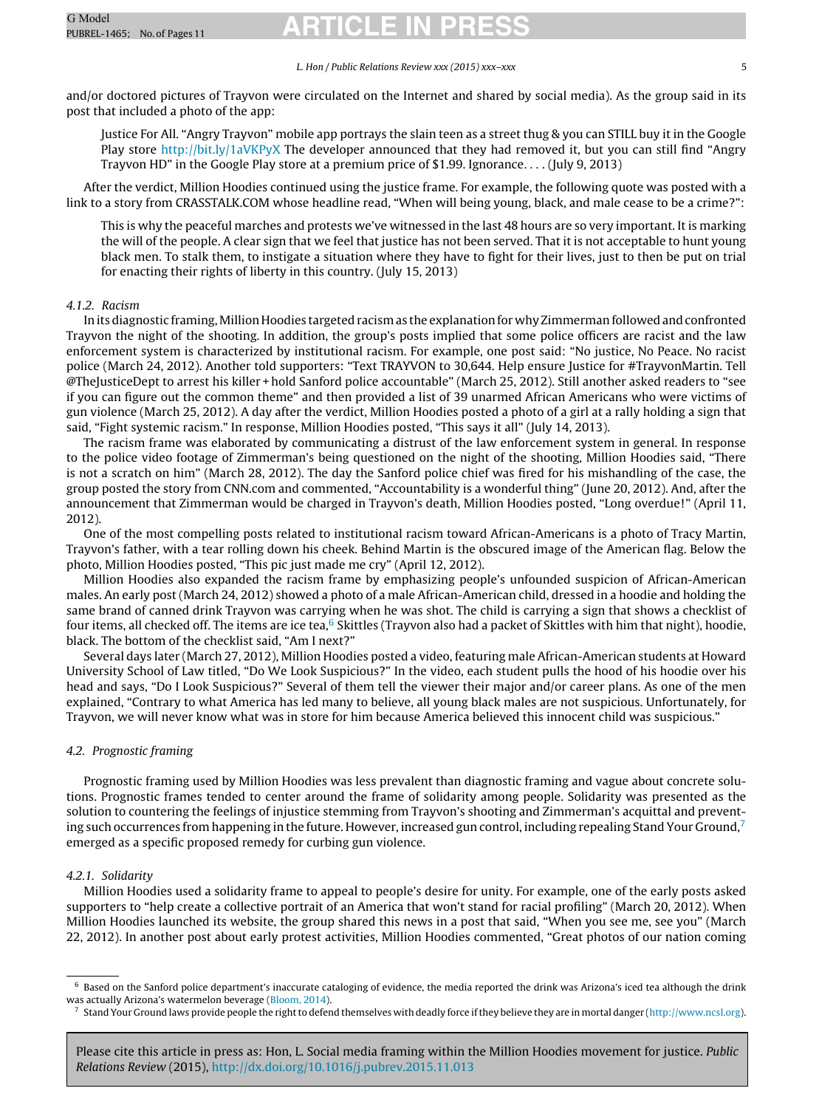#### L. Hon / Public Relations Review xxx (2015) xxx-xxx

and/or doctored pictures of Trayvon were circulated on the Internet and shared by social media). As the group said in its post that included a photo of the app:

Justice For All. "Angry Trayvon" mobile app portrays the slain teen as a street thug & you can STILL buy it in the Google Play store <http://bit.ly/1aVKPyX> The developer announced that they had removed it, but you can still find "Angry Trayvon HD" in the Google Play store at a premium price of \$1.99. Ignorance. . . . (July 9, 2013)

After the verdict, Million Hoodies continued using the justice frame. For example, the following quote was posted with a link to a story from CRASSTALK.COM whose headline read, "When will being young, black, and male cease to be a crime?":

This is why the peaceful marches and protests we've witnessed in the last 48 hours are so very important. It is marking the will of the people. A clear sign that we feel that justice has not been served. That it is not acceptable to hunt young black men. To stalk them, to instigate a situation where they have to fight for their lives, just to then be put on trial for enacting their rights of liberty in this country. (July 15, 2013)

#### 4.1.2. Racism

Inits diagnostic framing,Million Hoodies targeted racismas the explanationfor why Zimmermanfollowed and confronted Trayvon the night of the shooting. In addition, the group's posts implied that some police officers are racist and the law enforcement system is characterized by institutional racism. For example, one post said: "No justice, No Peace. No racist police (March 24, 2012). Another told supporters: "Text TRAYVON to 30,644. Help ensure Justice for #TrayvonMartin. Tell @TheJusticeDept to arrest his killer + hold Sanford police accountable" (March 25, 2012). Still another asked readers to "see if you can figure out the common theme" and then provided a list of 39 unarmed African Americans who were victims of gun violence (March 25, 2012). A day after the verdict, Million Hoodies posted a photo of a girl at a rally holding a sign that said, "Fight systemic racism." In response, Million Hoodies posted, "This says it all" (July 14, 2013).

The racism frame was elaborated by communicating a distrust of the law enforcement system in general. In response to the police video footage of Zimmerman's being questioned on the night of the shooting, Million Hoodies said, "There is not a scratch on him" (March 28, 2012). The day the Sanford police chief was fired for his mishandling of the case, the group posted the story from CNN.com and commented, "Accountability is a wonderful thing" (June 20, 2012). And, after the announcement that Zimmerman would be charged in Trayvon's death, Million Hoodies posted, "Long overdue!" (April 11, 2012).

One of the most compelling posts related to institutional racism toward African-Americans is a photo of Tracy Martin, Trayvon's father, with a tear rolling down his cheek. Behind Martin is the obscured image of the American flag. Below the photo, Million Hoodies posted, "This pic just made me cry" (April 12, 2012).

Million Hoodies also expanded the racism frame by emphasizing people's unfounded suspicion of African-American males. An early post (March 24, 2012) showed a photo of a male African-American child, dressed in a hoodie and holding the same brand of canned drink Trayvon was carrying when he was shot. The child is carrying a sign that shows a checklist of four items, all checked off. The items are ice tea,<sup>6</sup> Skittles (Trayvon also had a packet of Skittles with him that night), hoodie, black. The bottom of the checklist said, "Am I next?"

Several days later (March 27, 2012), Million Hoodies posted a video, featuring male African-American students at Howard University School of Law titled, "Do We Look Suspicious?" In the video, each student pulls the hood of his hoodie over his head and says, "Do I Look Suspicious?" Several of them tell the viewer their major and/or career plans. As one of the men explained, "Contrary to what America has led many to believe, all young black males are not suspicious. Unfortunately, for Trayvon, we will never know what was in store for him because America believed this innocent child was suspicious."

#### 4.2. Prognostic framing

Prognostic framing used by Million Hoodies was less prevalent than diagnostic framing and vague about concrete solutions. Prognostic frames tended to center around the frame of solidarity among people. Solidarity was presented as the solution to countering the feelings of injustice stemming from Trayvon's shooting and Zimmerman's acquittal and preventing such occurrences from happening in the future. However, increased gun control, including repealing Stand Your Ground,<sup>7</sup> emerged as a specific proposed remedy for curbing gun violence.

### 4.2.1. Solidarity

Million Hoodies used a solidarity frame to appeal to people's desire for unity. For example, one of the early posts asked supporters to "help create a collective portrait of an America that won't stand for racial profiling" (March 20, 2012). When Million Hoodies launched its website, the group shared this news in a post that said, "When you see me, see you" (March 22, 2012). In another post about early protest activities, Million Hoodies commented, "Great photos of our nation coming

<sup>&</sup>lt;sup>6</sup> Based on the Sanford police department's inaccurate cataloging of evidence, the media reported the drink was Arizona's iced tea although the drink was actually Arizona's watermelon beverage ([Bloom,](#page-9-0) [2014\).](#page-9-0)

 $^7$  Stand Your Ground laws provide people the right to defend themselves with deadly force if they believe they are in mortal danger (<http://www.ncsl.org>).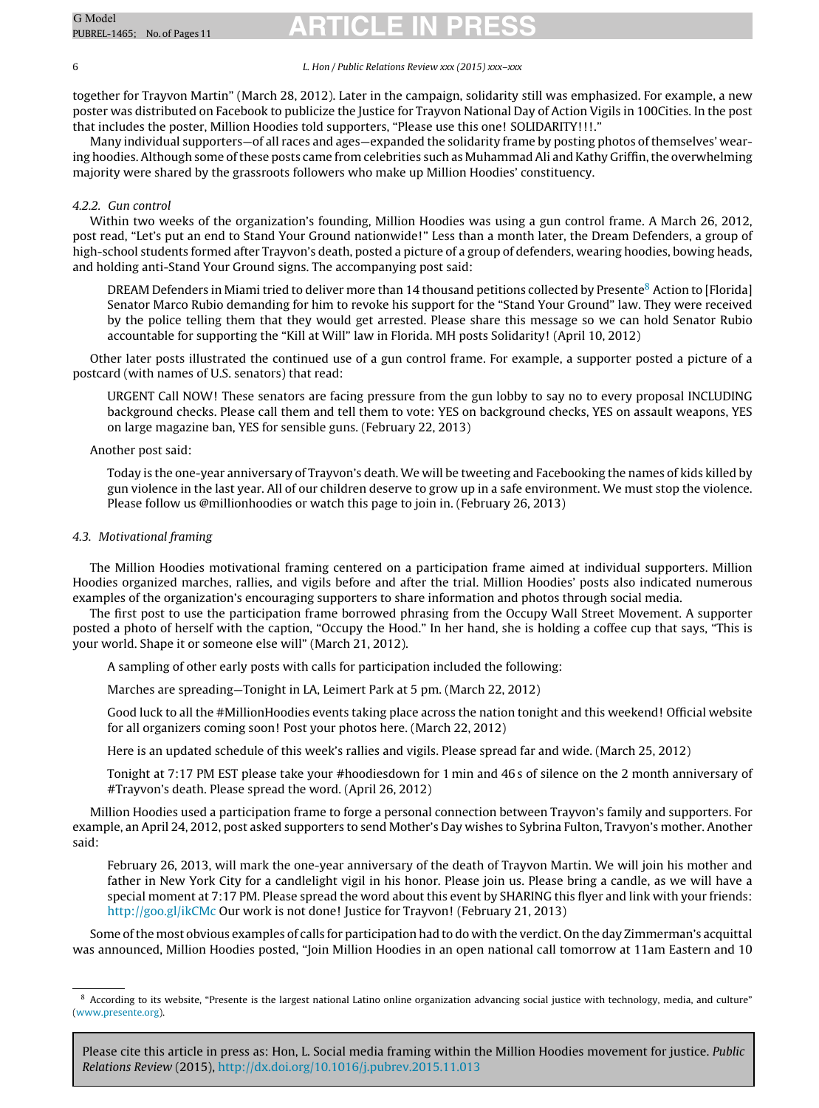#### 6 L. Hon / Public Relations Review xxx (2015) xxx–xxx

together for Trayvon Martin" (March 28, 2012). Later in the campaign, solidarity still was emphasized. For example, a new poster was distributed on Facebook to publicize the Justice for Trayvon National Day of Action Vigils in 100Cities. In the post that includes the poster, Million Hoodies told supporters, "Please use this one! SOLIDARITY!!!."

Many individual supporters—of all races and ages—expanded the solidarity frame by posting photos of themselves' wearing hoodies. Although some of these posts came from celebrities such as Muhammad Ali and Kathy Griffin, the overwhelming majority were shared by the grassroots followers who make up Million Hoodies' constituency.

## 4.2.2. Gun control

Within two weeks of the organization's founding, Million Hoodies was using a gun control frame. A March 26, 2012, post read, "Let's put an end to Stand Your Ground nationwide!" Less than a month later, the Dream Defenders, a group of high-school students formed after Trayvon's death, posted a picture of a group of defenders, wearing hoodies, bowing heads, and holding anti-Stand Your Ground signs. The accompanying post said:

DREAM Defenders in Miami tried to deliver more than 14 thousand petitions collected by Presente<sup>8</sup> Action to [Florida] Senator Marco Rubio demanding for him to revoke his support for the "Stand Your Ground" law. They were received by the police telling them that they would get arrested. Please share this message so we can hold Senator Rubio accountable for supporting the "Kill at Will" law in Florida. MH posts Solidarity! (April 10, 2012)

Other later posts illustrated the continued use of a gun control frame. For example, a supporter posted a picture of a postcard (with names of U.S. senators) that read:

URGENT Call NOW! These senators are facing pressure from the gun lobby to say no to every proposal INCLUDING background checks. Please call them and tell them to vote: YES on background checks, YES on assault weapons, YES on large magazine ban, YES for sensible guns. (February 22, 2013)

### Another post said:

Today is the one-year anniversary of Trayvon's death. We will be tweeting and Facebooking the names of kids killed by gun violence in the last year. All of our children deserve to grow up in a safe environment. We must stop the violence. Please follow us @millionhoodies or watch this page to join in. (February 26, 2013)

#### 4.3. Motivational framing

The Million Hoodies motivational framing centered on a participation frame aimed at individual supporters. Million Hoodies organized marches, rallies, and vigils before and after the trial. Million Hoodies' posts also indicated numerous examples of the organization's encouraging supporters to share information and photos through social media.

The first post to use the participation frame borrowed phrasing from the Occupy Wall Street Movement. A supporter posted a photo of herself with the caption, "Occupy the Hood." In her hand, she is holding a coffee cup that says, "This is your world. Shape it or someone else will" (March 21, 2012).

A sampling of other early posts with calls for participation included the following:

Marches are spreading—Tonight in LA, Leimert Park at 5 pm. (March 22, 2012)

Good luck to all the #MillionHoodies events taking place across the nation tonight and this weekend! Official website for all organizers coming soon! Post your photos here. (March 22, 2012)

Here is an updated schedule of this week's rallies and vigils. Please spread far and wide. (March 25, 2012)

Tonight at 7:17 PM EST please take your #hoodiesdown for 1 min and 46 s of silence on the 2 month anniversary of #Trayvon's death. Please spread the word. (April 26, 2012)

Million Hoodies used a participation frame to forge a personal connection between Trayvon's family and supporters. For example, an April 24, 2012, post asked supporters to send Mother's Day wishes to Sybrina Fulton, Travyon's mother. Another said:

February 26, 2013, will mark the one-year anniversary of the death of Trayvon Martin. We will join his mother and father in New York City for a candlelight vigil in his honor. Please join us. Please bring a candle, as we will have a special moment at 7:17 PM. Please spread the word about this event by SHARING this flyer and link with your friends: <http://goo.gl/ikCMc> Our work is not done! Justice for Trayvon! (February 21, 2013)

Some ofthe most obvious examples of calls for participation had to do with the verdict. On the day Zimmerman's acquittal was announced, Million Hoodies posted, "Join Million Hoodies in an open national call tomorrow at 11am Eastern and 10

<sup>8</sup> According to its website, "Presente is the largest national Latino online organization advancing social justice with technology, media, and culture" ([www.presente.org\)](http://www.presente.org).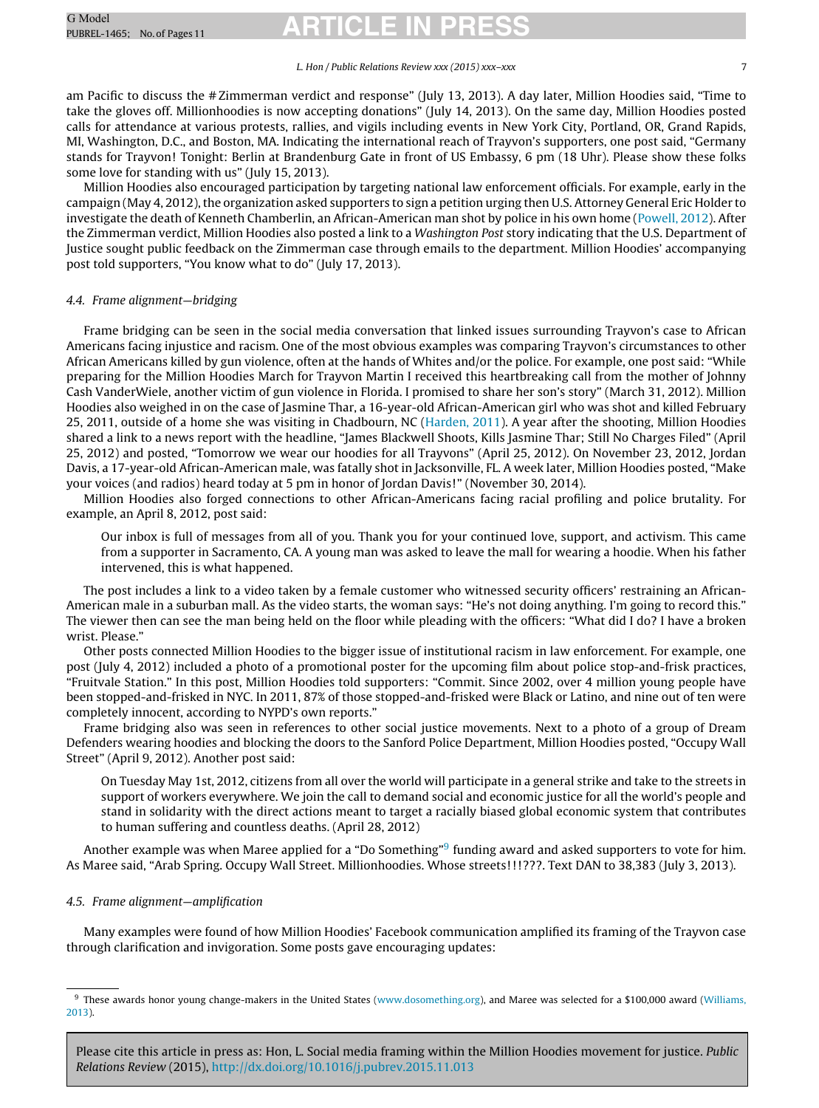#### L. Hon / Public Relations Review xxx (2015) xxx–xxx 7

am Pacific to discuss the # Zimmerman verdict and response" (July 13, 2013). A day later, Million Hoodies said, "Time to take the gloves off. Millionhoodies is now accepting donations" (July 14, 2013). On the same day, Million Hoodies posted calls for attendance at various protests, rallies, and vigils including events in New York City, Portland, OR, Grand Rapids, MI, Washington, D.C., and Boston, MA. Indicating the international reach of Trayvon's supporters, one post said, "Germany stands for Trayvon! Tonight: Berlin at Brandenburg Gate in front of US Embassy, 6 pm (18 Uhr). Please show these folks some love for standing with us" (July 15, 2013).

Million Hoodies also encouraged participation by targeting national law enforcement officials. For example, early in the campaign (May 4, 2012), the organization asked supporters to sign a petition urging then U.S. Attorney General Eric Holder to investigate the death of Kenneth Chamberlin, an African-American man shot by police in his own home ([Powell,](#page-9-0) [2012\).](#page-9-0) After the Zimmerman verdict, Million Hoodies also posted a link to a Washington Post story indicating that the U.S. Department of Justice sought public feedback on the Zimmerman case through emails to the department. Million Hoodies' accompanying post told supporters, "You know what to do" (July 17, 2013).

### 4.4. Frame alignment—bridging

Frame bridging can be seen in the social media conversation that linked issues surrounding Trayvon's case to African Americans facing injustice and racism. One of the most obvious examples was comparing Trayvon's circumstances to other African Americans killed by gun violence, often at the hands of Whites and/or the police. For example, one post said: "While preparing for the Million Hoodies March for Trayvon Martin I received this heartbreaking call from the mother of Johnny Cash VanderWiele, another victim of gun violence in Florida. I promised to share her son's story" (March 31, 2012). Million Hoodies also weighed in on the case of Jasmine Thar, a 16-year-old African-American girl who was shot and killed February 25, 2011, outside of a home she was visiting in Chadbourn, NC [\(Harden,](#page-9-0) [2011\).](#page-9-0) A year after the shooting, Million Hoodies shared a link to a news report with the headline, "James Blackwell Shoots, Kills Jasmine Thar; Still No Charges Filed" (April 25, 2012) and posted, "Tomorrow we wear our hoodies for all Trayvons" (April 25, 2012). On November 23, 2012, Jordan Davis, a 17-year-old African-American male, was fatally shot in Jacksonville, FL. A week later, Million Hoodies posted, "Make your voices (and radios) heard today at 5 pm in honor of Jordan Davis!" (November 30, 2014).

Million Hoodies also forged connections to other African-Americans facing racial profiling and police brutality. For example, an April 8, 2012, post said:

Our inbox is full of messages from all of you. Thank you for your continued love, support, and activism. This came from a supporter in Sacramento, CA. A young man was asked to leave the mall for wearing a hoodie. When his father intervened, this is what happened.

The post includes a link to a video taken by a female customer who witnessed security officers' restraining an African-American male in a suburban mall. As the video starts, the woman says: "He's not doing anything. I'm going to record this." The viewer then can see the man being held on the floor while pleading with the officers: "What did I do? I have a broken wrist. Please."

Other posts connected Million Hoodies to the bigger issue of institutional racism in law enforcement. For example, one post (July 4, 2012) included a photo of a promotional poster for the upcoming film about police stop-and-frisk practices, "Fruitvale Station." In this post, Million Hoodies told supporters: "Commit. Since 2002, over 4 million young people have been stopped-and-frisked in NYC. In 2011, 87% of those stopped-and-frisked were Black or Latino, and nine out of ten were completely innocent, according to NYPD's own reports."

Frame bridging also was seen in references to other social justice movements. Next to a photo of a group of Dream Defenders wearing hoodies and blocking the doors to the Sanford Police Department, Million Hoodies posted, "Occupy Wall Street" (April 9, 2012). Another post said:

On Tuesday May 1st, 2012, citizens from all over the world will participate in a general strike and take to the streets in support of workers everywhere. We join the call to demand social and economic justice for all the world's people and stand in solidarity with the direct actions meant to target a racially biased global economic system that contributes to human suffering and countless deaths. (April 28, 2012)

Another example was when Maree applied for a "Do Something"<sup>9</sup> funding award and asked supporters to vote for him. As Maree said, "Arab Spring. Occupy Wall Street. Millionhoodies. Whose streets!!!???. Text DAN to 38,383 (July 3, 2013).

### 4.5. Frame alignment—amplification

Many examples were found of how Million Hoodies' Facebook communication amplified its framing of the Trayvon case through clarification and invigoration. Some posts gave encouraging updates:

<sup>&</sup>lt;sup>9</sup> These awards honor young change-makers in the United States [\(www.dosomething.org\)](http://www.dosomething.org), and Maree was selected for a \$100,000 award [\(Williams,](#page-10-0) [2013\).](#page-10-0)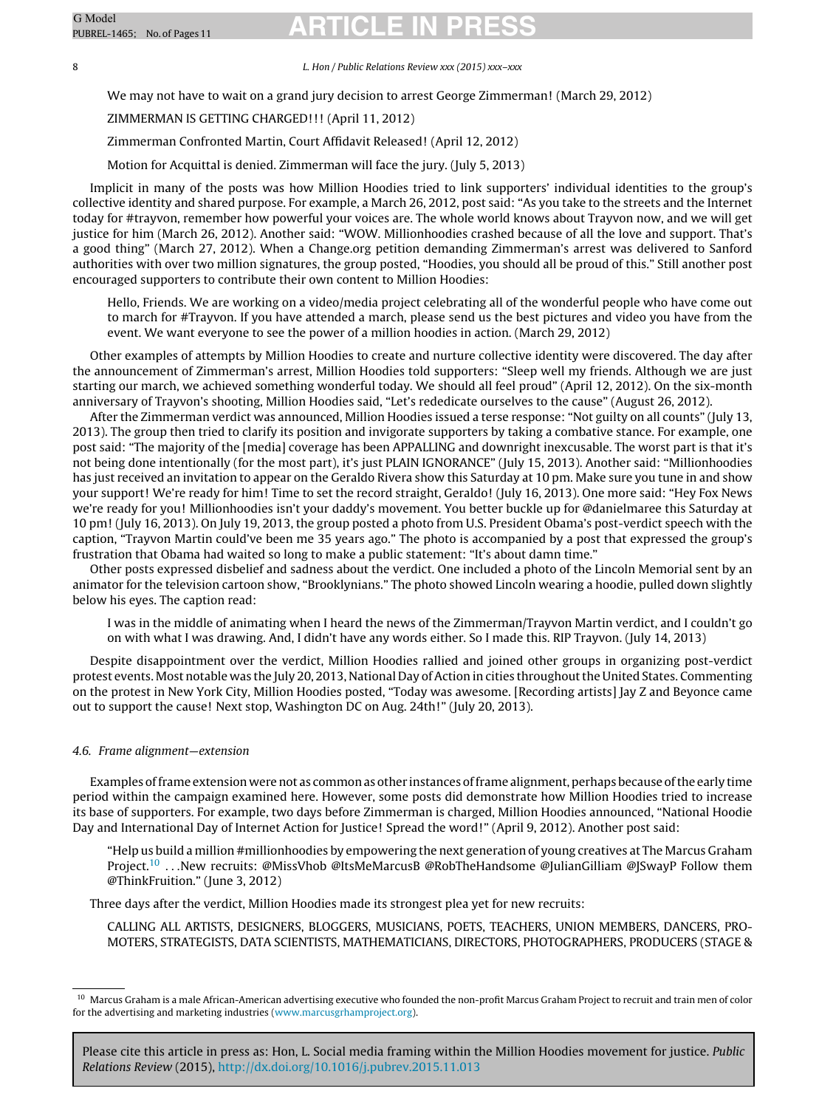8 L. Hon / Public Relations Review xxx (2015) xxx–xxx

We may not have to wait on a grand jury decision to arrest George Zimmerman! (March 29, 2012)

# ZIMMERMAN IS GETTING CHARGED!!! (April 11, 2012)

Zimmerman Confronted Martin, Court Affidavit Released! (April 12, 2012)

Motion for Acquittal is denied. Zimmerman will face the jury. (July 5, 2013)

Implicit in many of the posts was how Million Hoodies tried to link supporters' individual identities to the group's collective identity and shared purpose. For example, a March 26, 2012, post said: "As you take to the streets and the Internet today for #trayvon, remember how powerful your voices are. The whole world knows about Trayvon now, and we will get justice for him (March 26, 2012). Another said: "WOW. Millionhoodies crashed because of all the love and support. That's a good thing" (March 27, 2012). When a Change.org petition demanding Zimmerman's arrest was delivered to Sanford authorities with over two million signatures, the group posted, "Hoodies, you should all be proud of this." Still another post encouraged supporters to contribute their own content to Million Hoodies:

Hello, Friends. We are working on a video/media project celebrating all of the wonderful people who have come out to march for #Trayvon. If you have attended a march, please send us the best pictures and video you have from the event. We want everyone to see the power of a million hoodies in action. (March 29, 2012)

Other examples of attempts by Million Hoodies to create and nurture collective identity were discovered. The day after the announcement of Zimmerman's arrest, Million Hoodies told supporters: "Sleep well my friends. Although we are just starting our march, we achieved something wonderful today. We should all feel proud" (April 12, 2012). On the six-month anniversary of Trayvon's shooting, Million Hoodies said, "Let's rededicate ourselves to the cause" (August 26, 2012).

After the Zimmerman verdict was announced, Million Hoodies issued a terse response: "Not guilty on all counts" (July 13, 2013). The group then tried to clarify its position and invigorate supporters by taking a combative stance. For example, one post said: "The majority of the [media] coverage has been APPALLING and downright inexcusable. The worst part is that it's not being done intentionally (for the most part), it's just PLAIN IGNORANCE" (July 15, 2013). Another said: "Millionhoodies has just received an invitation to appear on the Geraldo Rivera show this Saturday at 10 pm. Make sure you tune in and show your support! We're ready for him! Time to set the record straight, Geraldo! (July 16, 2013). One more said: "Hey Fox News we're ready for you! Millionhoodies isn't your daddy's movement. You better buckle up for @danielmaree this Saturday at 10 pm! (July 16, 2013). On July 19, 2013, the group posted a photo from U.S. President Obama's post-verdict speech with the caption, "Trayvon Martin could've been me 35 years ago." The photo is accompanied by a post that expressed the group's frustration that Obama had waited so long to make a public statement: "It's about damn time."

Other posts expressed disbelief and sadness about the verdict. One included a photo of the Lincoln Memorial sent by an animator for the television cartoon show, "Brooklynians." The photo showed Lincoln wearing a hoodie, pulled down slightly below his eyes. The caption read:

I was in the middle of animating when I heard the news of the Zimmerman/Trayvon Martin verdict, and I couldn't go on with what I was drawing. And, I didn't have any words either. So I made this. RIP Trayvon. (July 14, 2013)

Despite disappointment over the verdict, Million Hoodies rallied and joined other groups in organizing post-verdict protest events. Most notable was the July 20, 2013, National Day of Action in cities throughout the United States. Commenting on the protest in New York City, Million Hoodies posted, "Today was awesome. [Recording artists] Jay Z and Beyonce came out to support the cause! Next stop, Washington DC on Aug. 24th!" (July 20, 2013).

# 4.6. Frame alignment—extension

Examples of frame extension were not as common as other instances of frame alignment, perhaps because of the early time period within the campaign examined here. However, some posts did demonstrate how Million Hoodies tried to increase its base of supporters. For example, two days before Zimmerman is charged, Million Hoodies announced, "National Hoodie Day and International Day of Internet Action for Justice! Spread the word!" (April 9, 2012). Another post said:

"Help us build a million #millionhoodies by empowering the next generation of young creatives at The Marcus Graham Project.<sup>10</sup> ...New recruits: @MissVhob @ItsMeMarcusB @RobTheHandsome @JulianGilliam @JSwayP Follow them @ThinkFruition." (June 3, 2012)

Three days after the verdict, Million Hoodies made its strongest plea yet for new recruits:

CALLING ALL ARTISTS, DESIGNERS, BLOGGERS, MUSICIANS, POETS, TEACHERS, UNION MEMBERS, DANCERS, PRO-MOTERS, STRATEGISTS, DATA SCIENTISTS, MATHEMATICIANS, DIRECTORS, PHOTOGRAPHERS, PRODUCERS (STAGE &

<sup>&</sup>lt;sup>10</sup> Marcus Graham is a male African-American advertising executive who founded the non-profit Marcus Graham Project to recruit and train men of color for the advertising and marketing industries ([www.marcusgrhamproject.org](http://www.marcusgrhamproject.org)).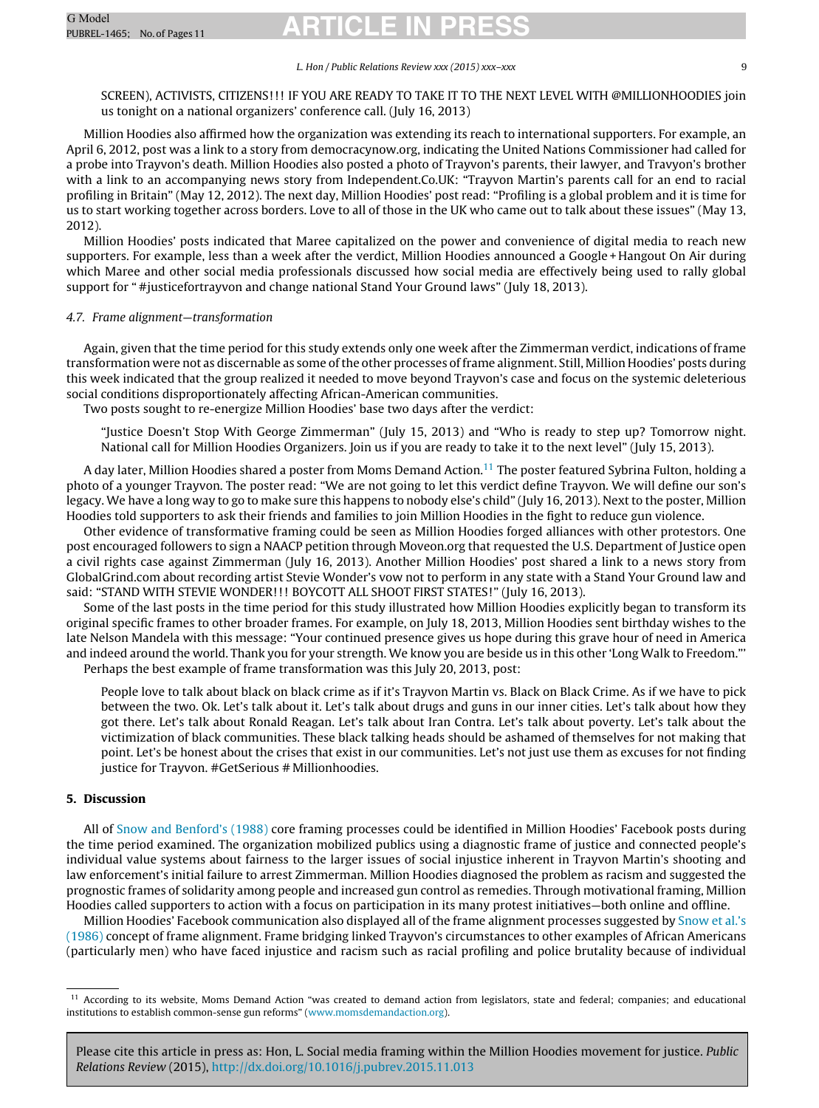#### L. Hon / Public Relations Review xxx (2015) xxx–xxx 9

Million Hoodies also affirmed how the organization was extending its reach to international supporters. For example, an April 6, 2012, post was a link to a story from democracynow.org, indicating the United Nations Commissioner had called for a probe into Trayvon's death. Million Hoodies also posted a photo of Trayvon's parents, their lawyer, and Travyon's brother with a link to an accompanying news story from Independent.Co.UK: "Trayvon Martin's parents call for an end to racial profiling in Britain" (May 12, 2012). The next day, Million Hoodies' post read: "Profiling is a global problem and it is time for us to start working together across borders. Love to all of those in the UK who came out to talk about these issues" (May 13, 2012).

Million Hoodies' posts indicated that Maree capitalized on the power and convenience of digital media to reach new supporters. For example, less than a week after the verdict, Million Hoodies announced a Google + Hangout On Air during which Maree and other social media professionals discussed how social media are effectively being used to rally global support for " #justicefortrayvon and change national Stand Your Ground laws" (July 18, 2013).

#### 4.7. Frame alignment—transformation

Again, given that the time period for this study extends only one week after the Zimmerman verdict, indications of frame transformation were not as discernable as some ofthe other processes of frame alignment. Still, Million Hoodies' posts during this week indicated that the group realized it needed to move beyond Trayvon's case and focus on the systemic deleterious social conditions disproportionately affecting African-American communities.

Two posts sought to re-energize Million Hoodies' base two days after the verdict:

"Justice Doesn't Stop With George Zimmerman" (July 15, 2013) and "Who is ready to step up? Tomorrow night. National call for Million Hoodies Organizers. Join us if you are ready to take it to the next level" (July 15, 2013).

A day later, Million Hoodies shared a poster from Moms Demand Action.11 The poster featured Sybrina Fulton, holding a photo of a younger Trayvon. The poster read: "We are not going to let this verdict define Trayvon. We will define our son's legacy. We have a long way to go to make sure this happens to nobody else's child" (July 16, 2013). Next to the poster, Million Hoodies told supporters to ask their friends and families to join Million Hoodies in the fight to reduce gun violence.

Other evidence of transformative framing could be seen as Million Hoodies forged alliances with other protestors. One post encouraged followers to sign a NAACP petition through Moveon.org that requested the U.S. Department of Justice open a civil rights case against Zimmerman (July 16, 2013). Another Million Hoodies' post shared a link to a news story from GlobalGrind.com about recording artist Stevie Wonder's vow not to perform in any state with a Stand Your Ground law and said: "STAND WITH STEVIE WONDER!!! BOYCOTT ALL SHOOT FIRST STATES!" (July 16, 2013).

Some of the last posts in the time period for this study illustrated how Million Hoodies explicitly began to transform its original specific frames to other broader frames. For example, on July 18, 2013, Million Hoodies sent birthday wishes to the late Nelson Mandela with this message: "Your continued presence gives us hope during this grave hour of need in America and indeed around the world. Thank you for your strength. We know you are beside us in this other 'Long Walk to Freedom."' Perhaps the best example of frame transformation was this July 20, 2013, post:

People love to talk about black on black crime as if it's Trayvon Martin vs. Black on Black Crime. As if we have to pick between the two. Ok. Let's talk about it. Let's talk about drugs and guns in our inner cities. Let's talk about how they got there. Let's talk about Ronald Reagan. Let's talk about Iran Contra. Let's talk about poverty. Let's talk about the victimization of black communities. These black talking heads should be ashamed of themselves for not making that point. Let's be honest about the crises that exist in our communities. Let's not just use them as excuses for not finding justice for Trayvon. #GetSerious # Millionhoodies.

#### **5. Discussion**

All of [Snow](#page-10-0) [and](#page-10-0) [Benford's](#page-10-0) [\(1988\)](#page-10-0) core framing processes could be identified in Million Hoodies' Facebook posts during the time period examined. The organization mobilized publics using a diagnostic frame of justice and connected people's individual value systems about fairness to the larger issues of social injustice inherent in Trayvon Martin's shooting and law enforcement's initial failure to arrest Zimmerman. Million Hoodies diagnosed the problem as racism and suggested the prognostic frames of solidarity among people and increased gun control as remedies. Through motivational framing, Million Hoodies called supporters to action with a focus on participation in its many protest initiatives—both online and offline.

Million Hoodies' Facebook communication also displayed all of the frame alignment processes suggested by [Snow](#page-10-0) et [al.'s](#page-10-0) [\(1986\)](#page-10-0) concept of frame alignment. Frame bridging linked Trayvon's circumstances to other examples of African Americans (particularly men) who have faced injustice and racism such as racial profiling and police brutality because of individual

<sup>&</sup>lt;sup>11</sup> According to its website, Moms Demand Action "was created to demand action from legislators, state and federal; companies; and educational institutions to establish common-sense gun reforms" ([www.momsdemandaction.org](http://www.momsdemandaction.org)).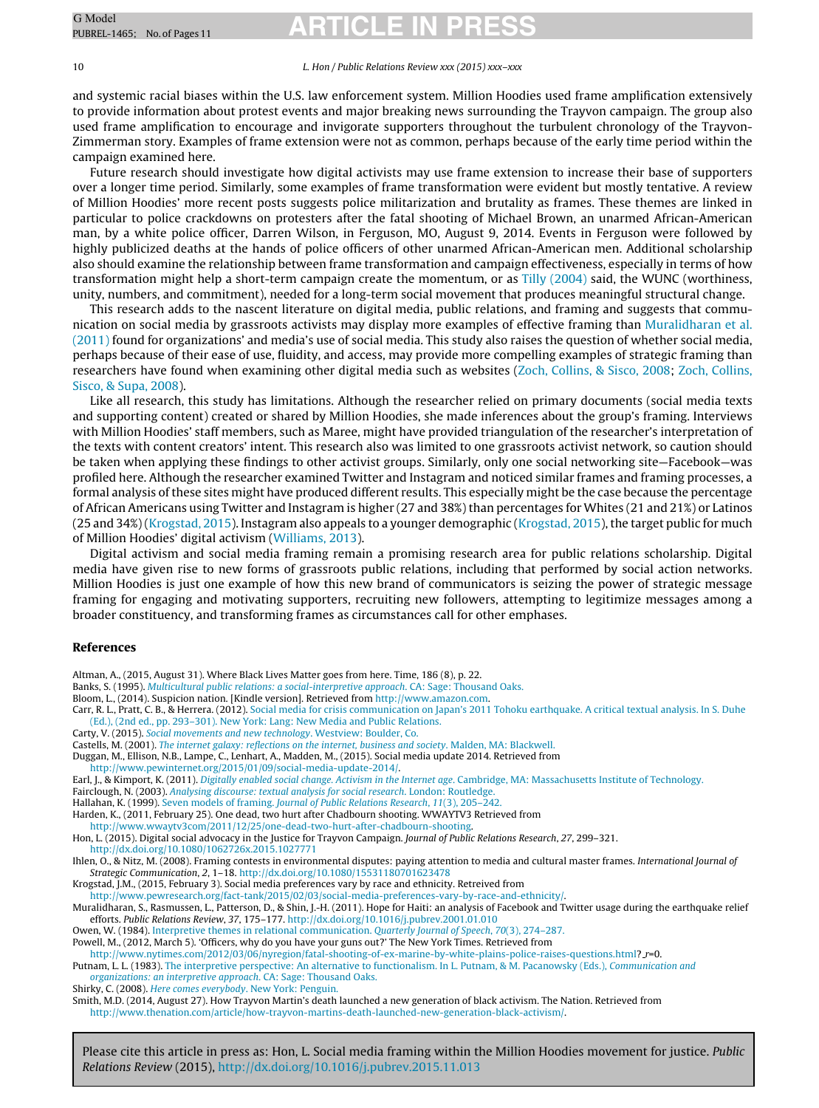#### <span id="page-9-0"></span>10 L. Hon / Public Relations Review xxx (2015) xxx–xxx

and systemic racial biases within the U.S. law enforcement system. Million Hoodies used frame amplification extensively to provide information about protest events and major breaking news surrounding the Trayvon campaign. The group also used frame amplification to encourage and invigorate supporters throughout the turbulent chronology of the Trayvon-Zimmerman story. Examples of frame extension were not as common, perhaps because of the early time period within the campaign examined here.

Future research should investigate how digital activists may use frame extension to increase their base of supporters over a longer time period. Similarly, some examples of frame transformation were evident but mostly tentative. A review of Million Hoodies' more recent posts suggests police militarization and brutality as frames. These themes are linked in particular to police crackdowns on protesters after the fatal shooting of Michael Brown, an unarmed African-American man, by a white police officer, Darren Wilson, in Ferguson, MO, August 9, 2014. Events in Ferguson were followed by highly publicized deaths at the hands of police officers of other unarmed African-American men. Additional scholarship also should examine the relationship between frame transformation and campaign effectiveness, especially in terms of how transformation might help a short-term campaign create the momentum, or as [Tilly](#page-10-0) [\(2004\)](#page-10-0) said, the WUNC (worthiness, unity, numbers, and commitment), needed for a long-term social movement that produces meaningful structural change.

This research adds to the nascent literature on digital media, public relations, and framing and suggests that communication on social media by grassroots activists may display more examples of effective framing than Muralidharan et al. (2011) found for organizations' and media's use of social media. This study also raises the question of whether social media, perhaps because of their ease of use, fluidity, and access, may provide more compelling examples of strategic framing than researchers have found when examining other digital media such as websites ([Zoch,](#page-10-0) [Collins,](#page-10-0) [&](#page-10-0) [Sisco,](#page-10-0) [2008;](#page-10-0) [Zoch,](#page-10-0) [Collins,](#page-10-0) [Sisco,](#page-10-0) [&](#page-10-0) [Supa,](#page-10-0) [2008\).](#page-10-0)

Like all research, this study has limitations. Although the researcher relied on primary documents (social media texts and supporting content) created or shared by Million Hoodies, she made inferences about the group's framing. Interviews with Million Hoodies' staff members, such as Maree, might have provided triangulation of the researcher's interpretation of the texts with content creators' intent. This research also was limited to one grassroots activist network, so caution should be taken when applying these findings to other activist groups. Similarly, only one social networking site—Facebook—was profiled here. Although the researcher examined Twitter and Instagram and noticed similar frames and framing processes, a formal analysis ofthese sites might have produced different results. This especially might be the case because the percentage of African Americans using Twitter and Instagram is higher (27 and 38%) than percentages for Whites (21 and 21%) or Latinos (25 and 34%) (Krogstad, 2015). Instagram also appeals to a younger demographic (Krogstad, 2015), the target public for much of Million Hoodies' digital activism [\(Williams,](#page-10-0) [2013\).](#page-10-0)

Digital activism and social media framing remain a promising research area for public relations scholarship. Digital media have given rise to new forms of grassroots public relations, including that performed by social action networks. Million Hoodies is just one example of how this new brand of communicators is seizing the power of strategic message framing for engaging and motivating supporters, recruiting new followers, attempting to legitimize messages among a broader constituency, and transforming frames as circumstances call for other emphases.

### **References**

Altman, A., (2015, August 31). Where Black Lives Matter goes from here. Time, 186 (8), p. 22.

- Banks, S. (1995). [Multicultural](http://refhub.elsevier.com/S0363-8111(15)30099-0/sbref0010) [public](http://refhub.elsevier.com/S0363-8111(15)30099-0/sbref0010) [relations:](http://refhub.elsevier.com/S0363-8111(15)30099-0/sbref0010) [a](http://refhub.elsevier.com/S0363-8111(15)30099-0/sbref0010) [social-interpretive](http://refhub.elsevier.com/S0363-8111(15)30099-0/sbref0010) [approach](http://refhub.elsevier.com/S0363-8111(15)30099-0/sbref0010). [CA:](http://refhub.elsevier.com/S0363-8111(15)30099-0/sbref0010) [Sage:](http://refhub.elsevier.com/S0363-8111(15)30099-0/sbref0010) [Thousand](http://refhub.elsevier.com/S0363-8111(15)30099-0/sbref0010) [Oaks.](http://refhub.elsevier.com/S0363-8111(15)30099-0/sbref0010)
- Bloom, L., (2014). Suspicion nation. [Kindle version]. Retrieved from <http://www.amazon.com>.
- Carr, R. L., Pratt, C. B., & Herrera. (2012). [Social](http://refhub.elsevier.com/S0363-8111(15)30099-0/sbref0020) [media](http://refhub.elsevier.com/S0363-8111(15)30099-0/sbref0020) [for](http://refhub.elsevier.com/S0363-8111(15)30099-0/sbref0020) [crisis](http://refhub.elsevier.com/S0363-8111(15)30099-0/sbref0020) [communication](http://refhub.elsevier.com/S0363-8111(15)30099-0/sbref0020) [on](http://refhub.elsevier.com/S0363-8111(15)30099-0/sbref0020) [Japan's](http://refhub.elsevier.com/S0363-8111(15)30099-0/sbref0020) [2011](http://refhub.elsevier.com/S0363-8111(15)30099-0/sbref0020) [Tohoku](http://refhub.elsevier.com/S0363-8111(15)30099-0/sbref0020) [earthquake.](http://refhub.elsevier.com/S0363-8111(15)30099-0/sbref0020) [A](http://refhub.elsevier.com/S0363-8111(15)30099-0/sbref0020) [critical](http://refhub.elsevier.com/S0363-8111(15)30099-0/sbref0020) [textual](http://refhub.elsevier.com/S0363-8111(15)30099-0/sbref0020) [analysis.](http://refhub.elsevier.com/S0363-8111(15)30099-0/sbref0020) [In](http://refhub.elsevier.com/S0363-8111(15)30099-0/sbref0020) [S.](http://refhub.elsevier.com/S0363-8111(15)30099-0/sbref0020) [Duhe](http://refhub.elsevier.com/S0363-8111(15)30099-0/sbref0020) [\(Ed.\),](http://refhub.elsevier.com/S0363-8111(15)30099-0/sbref0020) [\(2nd](http://refhub.elsevier.com/S0363-8111(15)30099-0/sbref0020) [ed.,](http://refhub.elsevier.com/S0363-8111(15)30099-0/sbref0020) [pp.](http://refhub.elsevier.com/S0363-8111(15)30099-0/sbref0020) [293–301\).](http://refhub.elsevier.com/S0363-8111(15)30099-0/sbref0020) [New](http://refhub.elsevier.com/S0363-8111(15)30099-0/sbref0020) [York:](http://refhub.elsevier.com/S0363-8111(15)30099-0/sbref0020) [Lang:](http://refhub.elsevier.com/S0363-8111(15)30099-0/sbref0020) [New](http://refhub.elsevier.com/S0363-8111(15)30099-0/sbref0020) [Media](http://refhub.elsevier.com/S0363-8111(15)30099-0/sbref0020) [and](http://refhub.elsevier.com/S0363-8111(15)30099-0/sbref0020) [Public](http://refhub.elsevier.com/S0363-8111(15)30099-0/sbref0020) [Relations.](http://refhub.elsevier.com/S0363-8111(15)30099-0/sbref0020)
- Carty, V. (2015). [Social](http://refhub.elsevier.com/S0363-8111(15)30099-0/sbref0025) [movements](http://refhub.elsevier.com/S0363-8111(15)30099-0/sbref0025) [and](http://refhub.elsevier.com/S0363-8111(15)30099-0/sbref0025) [new](http://refhub.elsevier.com/S0363-8111(15)30099-0/sbref0025) [technology](http://refhub.elsevier.com/S0363-8111(15)30099-0/sbref0025)[.](http://refhub.elsevier.com/S0363-8111(15)30099-0/sbref0025) [Westview:](http://refhub.elsevier.com/S0363-8111(15)30099-0/sbref0025) [Boulder,](http://refhub.elsevier.com/S0363-8111(15)30099-0/sbref0025) [Co.](http://refhub.elsevier.com/S0363-8111(15)30099-0/sbref0025)
- Castells, M. (2001). [The](http://refhub.elsevier.com/S0363-8111(15)30099-0/sbref0030) [internet](http://refhub.elsevier.com/S0363-8111(15)30099-0/sbref0030) [galaxy:](http://refhub.elsevier.com/S0363-8111(15)30099-0/sbref0030) [reflections](http://refhub.elsevier.com/S0363-8111(15)30099-0/sbref0030) [on](http://refhub.elsevier.com/S0363-8111(15)30099-0/sbref0030) [the](http://refhub.elsevier.com/S0363-8111(15)30099-0/sbref0030) [internet,](http://refhub.elsevier.com/S0363-8111(15)30099-0/sbref0030) [business](http://refhub.elsevier.com/S0363-8111(15)30099-0/sbref0030) [and](http://refhub.elsevier.com/S0363-8111(15)30099-0/sbref0030) [society](http://refhub.elsevier.com/S0363-8111(15)30099-0/sbref0030). [Malden,](http://refhub.elsevier.com/S0363-8111(15)30099-0/sbref0030) [MA:](http://refhub.elsevier.com/S0363-8111(15)30099-0/sbref0030) [Blackwell.](http://refhub.elsevier.com/S0363-8111(15)30099-0/sbref0030)
- Duggan, M., Ellison, N.B., Lampe, C., Lenhart, A., Madden, M., (2015). Social media update 2014. Retrieved from
	- [http://www.pewinternet.org/2015/01/09/social-media-update-2014/.](http://www.pewinternet.org/2015/01/09/social-media-update-2014/)
- Earl, J., & Kimport, K. (2011). [Digitally](http://refhub.elsevier.com/S0363-8111(15)30099-0/sbref0040) [enabled](http://refhub.elsevier.com/S0363-8111(15)30099-0/sbref0040) [social](http://refhub.elsevier.com/S0363-8111(15)30099-0/sbref0040) [change.](http://refhub.elsevier.com/S0363-8111(15)30099-0/sbref0040) [Activism](http://refhub.elsevier.com/S0363-8111(15)30099-0/sbref0040) [in](http://refhub.elsevier.com/S0363-8111(15)30099-0/sbref0040) [the](http://refhub.elsevier.com/S0363-8111(15)30099-0/sbref0040) [Internet](http://refhub.elsevier.com/S0363-8111(15)30099-0/sbref0040) [age](http://refhub.elsevier.com/S0363-8111(15)30099-0/sbref0040)[.](http://refhub.elsevier.com/S0363-8111(15)30099-0/sbref0040) [Cambridge,](http://refhub.elsevier.com/S0363-8111(15)30099-0/sbref0040) [MA:](http://refhub.elsevier.com/S0363-8111(15)30099-0/sbref0040) [Massachusetts](http://refhub.elsevier.com/S0363-8111(15)30099-0/sbref0040) [Institute](http://refhub.elsevier.com/S0363-8111(15)30099-0/sbref0040) [of](http://refhub.elsevier.com/S0363-8111(15)30099-0/sbref0040) [Technology.](http://refhub.elsevier.com/S0363-8111(15)30099-0/sbref0040)
- Fairclough, N. (2003). [Analysing](http://refhub.elsevier.com/S0363-8111(15)30099-0/sbref0045) [discourse:](http://refhub.elsevier.com/S0363-8111(15)30099-0/sbref0045) [textual](http://refhub.elsevier.com/S0363-8111(15)30099-0/sbref0045) [analysis](http://refhub.elsevier.com/S0363-8111(15)30099-0/sbref0045) [for](http://refhub.elsevier.com/S0363-8111(15)30099-0/sbref0045) [social](http://refhub.elsevier.com/S0363-8111(15)30099-0/sbref0045) [research](http://refhub.elsevier.com/S0363-8111(15)30099-0/sbref0045)[.](http://refhub.elsevier.com/S0363-8111(15)30099-0/sbref0045) [London:](http://refhub.elsevier.com/S0363-8111(15)30099-0/sbref0045) [Routledge.](http://refhub.elsevier.com/S0363-8111(15)30099-0/sbref0045)

Hallahan, K. (1999). [Seven](http://refhub.elsevier.com/S0363-8111(15)30099-0/sbref0050) [models](http://refhub.elsevier.com/S0363-8111(15)30099-0/sbref0050) [of](http://refhub.elsevier.com/S0363-8111(15)30099-0/sbref0050) [framing.](http://refhub.elsevier.com/S0363-8111(15)30099-0/sbref0050) [Journal](http://refhub.elsevier.com/S0363-8111(15)30099-0/sbref0050) [of](http://refhub.elsevier.com/S0363-8111(15)30099-0/sbref0050) [Public](http://refhub.elsevier.com/S0363-8111(15)30099-0/sbref0050) [Relations](http://refhub.elsevier.com/S0363-8111(15)30099-0/sbref0050) [Research](http://refhub.elsevier.com/S0363-8111(15)30099-0/sbref0050)[,](http://refhub.elsevier.com/S0363-8111(15)30099-0/sbref0050) [11](http://refhub.elsevier.com/S0363-8111(15)30099-0/sbref0050)[\(3\),](http://refhub.elsevier.com/S0363-8111(15)30099-0/sbref0050) [205](http://refhub.elsevier.com/S0363-8111(15)30099-0/sbref0050)–[242.](http://refhub.elsevier.com/S0363-8111(15)30099-0/sbref0050)

Harden, K., (2011, February 25). One dead, two hurt after Chadbourn shooting. WWAYTV3 Retrieved from

[http://www.wwaytv3com/2011/12/25/one-dead-two-hurt-after-chadbourn-shooting.](http://www.wwaytv3com/2011/12/25/one-dead-two-hurt-after-chadbourn-shooting)

Hon, L. (2015). Digital social advocacy in the Justice for Trayvon Campaign. Journal of Public Relations Research, 27, 299–321.

- [http://dx.doi.org/10.1080/1062726x.2015.1027771](dx.doi.org/10.1080/1062726x.2015.1027771)
- Ihlen, O., & Nitz, M. (2008). Framing contests in environmental disputes: paying attention to media and cultural master frames. International Journal of Strategic Communication, 2, 1–18. [http://dx.doi.org/10.1080/15531180701623478](dx.doi.org/10.1080/15531180701623478)

Krogstad, J.M., (2015, February 3). Social media preferences vary by race and ethnicity. Retreived from

<http://www.pewresearch.org/fact-tank/2015/02/03/social-media-preferences-vary-by-race-and-ethnicity/>. Muralidharan, S., Rasmussen, L., Patterson, D., & Shin, J.-H. (2011). Hope for Haiti: an analysis of Facebook and Twitter usage during the earthquake relief efforts. Public Relations Review, 37, 175–177. [http://dx.doi.org/10.1016/j.pubrev.2001.01.010](dx.doi.org/10.1016/j.pubrev.2001.01.010)

Owen, W. (1984). [Interpretive](http://refhub.elsevier.com/S0363-8111(15)30099-0/sbref0080) [themes](http://refhub.elsevier.com/S0363-8111(15)30099-0/sbref0080) [in](http://refhub.elsevier.com/S0363-8111(15)30099-0/sbref0080) [relational](http://refhub.elsevier.com/S0363-8111(15)30099-0/sbref0080) [communication.](http://refhub.elsevier.com/S0363-8111(15)30099-0/sbref0080) [Quarterly](http://refhub.elsevier.com/S0363-8111(15)30099-0/sbref0080) [Journal](http://refhub.elsevier.com/S0363-8111(15)30099-0/sbref0080) [of](http://refhub.elsevier.com/S0363-8111(15)30099-0/sbref0080) [Speech](http://refhub.elsevier.com/S0363-8111(15)30099-0/sbref0080)[,](http://refhub.elsevier.com/S0363-8111(15)30099-0/sbref0080) [70](http://refhub.elsevier.com/S0363-8111(15)30099-0/sbref0080)[\(3\),](http://refhub.elsevier.com/S0363-8111(15)30099-0/sbref0080) [274–287.](http://refhub.elsevier.com/S0363-8111(15)30099-0/sbref0080)

Powell, M., (2012, March 5). 'Officers, why do you have your guns out?' The New York Times. Retrieved from

<http://www.nytimes.com/2012/03/06/nyregion/fatal-shooting-of-ex-marine-by-white-plains-police-raises-questions.html>?.r=0.

Putnam, L. L. (1983). [The](http://refhub.elsevier.com/S0363-8111(15)30099-0/sbref0090) [interpretive](http://refhub.elsevier.com/S0363-8111(15)30099-0/sbref0090) [perspective:](http://refhub.elsevier.com/S0363-8111(15)30099-0/sbref0090) [An](http://refhub.elsevier.com/S0363-8111(15)30099-0/sbref0090) [alternative](http://refhub.elsevier.com/S0363-8111(15)30099-0/sbref0090) [to](http://refhub.elsevier.com/S0363-8111(15)30099-0/sbref0090) [functionalism.](http://refhub.elsevier.com/S0363-8111(15)30099-0/sbref0090) [In](http://refhub.elsevier.com/S0363-8111(15)30099-0/sbref0090) [L.](http://refhub.elsevier.com/S0363-8111(15)30099-0/sbref0090) [Putnam,](http://refhub.elsevier.com/S0363-8111(15)30099-0/sbref0090) [&](http://refhub.elsevier.com/S0363-8111(15)30099-0/sbref0090) [M.](http://refhub.elsevier.com/S0363-8111(15)30099-0/sbref0090) [Pacanowsky](http://refhub.elsevier.com/S0363-8111(15)30099-0/sbref0090) [\(Eds.\),](http://refhub.elsevier.com/S0363-8111(15)30099-0/sbref0090) [Communication](http://refhub.elsevier.com/S0363-8111(15)30099-0/sbref0090) [and](http://refhub.elsevier.com/S0363-8111(15)30099-0/sbref0090) [organizations:](http://refhub.elsevier.com/S0363-8111(15)30099-0/sbref0090) [an](http://refhub.elsevier.com/S0363-8111(15)30099-0/sbref0090) [interpretive](http://refhub.elsevier.com/S0363-8111(15)30099-0/sbref0090) [approach](http://refhub.elsevier.com/S0363-8111(15)30099-0/sbref0090). [CA:](http://refhub.elsevier.com/S0363-8111(15)30099-0/sbref0090) [Sage:](http://refhub.elsevier.com/S0363-8111(15)30099-0/sbref0090) [Thousand](http://refhub.elsevier.com/S0363-8111(15)30099-0/sbref0090) [Oaks.](http://refhub.elsevier.com/S0363-8111(15)30099-0/sbref0090)

Shirky, C. (2008). [Here](http://refhub.elsevier.com/S0363-8111(15)30099-0/sbref0095) [comes](http://refhub.elsevier.com/S0363-8111(15)30099-0/sbref0095) [everybody](http://refhub.elsevier.com/S0363-8111(15)30099-0/sbref0095). [New](http://refhub.elsevier.com/S0363-8111(15)30099-0/sbref0095) [York:](http://refhub.elsevier.com/S0363-8111(15)30099-0/sbref0095) [Penguin.](http://refhub.elsevier.com/S0363-8111(15)30099-0/sbref0095)

Smith, M.D. (2014, August 27). How Trayvon Martin's death launched a new generation of black activism. The Nation. Retrieved from

<http://www.thenation.com/article/how-trayvon-martins-death-launched-new-generation-black-activism/>.